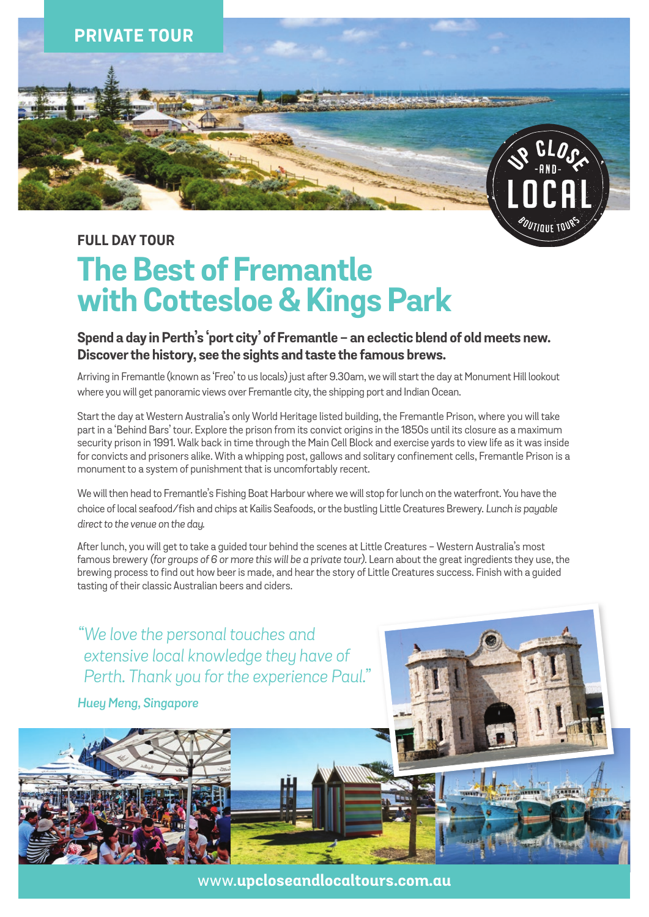

### **FULL DAY TOUR**

# **The Best of Fremantle with Cottesloe & Kings Park**

### **Spend a day in Perth's 'port city' of Fremantle - an eclectic blend of old meets new. Discover the history, see the sights and taste the famous brews.**

Arriving in Fremantle (known as 'Freo' to us locals) just after 9.30am, we will start the day at Monument Hill lookout where you will get panoramic views over Fremantle city, the shipping port and Indian Ocean.

Start the day at Western Australia's only World Heritage listed building, the Fremantle Prison, where you will take part in a 'Behind Bars' tour. Explore the prison from its convict origins in the 1850s until its closure as a maximum security prison in 1991. Walk back in time through the Main Cell Block and exercise yards to view life as it was inside for convicts and prisoners alike. With a whipping post, gallows and solitary confinement cells, Fremantle Prison is a monument to a system of punishment that is uncomfortably recent.

We will then head to Fremantle's Fishing Boat Harbour where we will stop for lunch on the waterfront. You have the choice of local seafood/fish and chips at Kailis Seafoods, or the bustling Little Creatures Brewery. *Lunch is payable direct to the venue on the day.*

After lunch, you will get to take a guided tour behind the scenes at Little Creatures - Western Australia's most famous brewery *(for groups of 6 or more this will be a private tour)*. Learn about the great ingredients they use, the brewing process to find out how beer is made, and hear the story of Little Creatures success. Finish with a guided tasting of their classic Australian beers and ciders.

*"We love the personal touches and extensive local knowledge they have of Perth. Thank you for the experience Paul."*

*Huey Meng, Singapore*



www.**upcloseandlocaltours.com.au**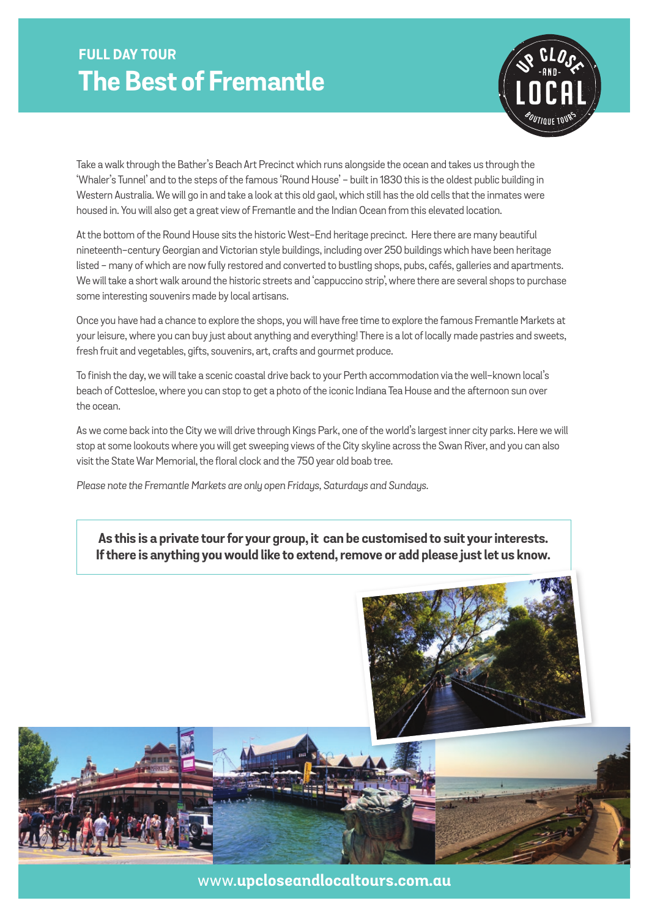### **FULL DAY TOUR The Best of Fremantle**



Take a walk through the Bather's Beach Art Precinct which runs alongside the ocean and takes us through the 'Whaler's Tunnel' and to the steps of the famous 'Round House' - built in 1830 this is the oldest public building in Western Australia. We will go in and take a look at this old gaol, which still has the old cells that the inmates were housed in. You will also get a great view of Fremantle and the Indian Ocean from this elevated location.

At the bottom of the Round House sits the historic West-End heritage precinct. Here there are many beautiful nineteenth-century Georgian and Victorian style buildings, including over 250 buildings which have been heritage listed - many of which are now fully restored and converted to bustling shops, pubs, cafés, galleries and apartments. We will take a short walk around the historic streets and 'cappuccino strip', where there are several shops to purchase some interesting souvenirs made by local artisans.

Once you have had a chance to explore the shops, you will have free time to explore the famous Fremantle Markets at your leisure, where you can buy just about anything and everything! There is a lot of locally made pastries and sweets, fresh fruit and vegetables, gifts, souvenirs, art, crafts and gourmet produce.

To finish the day, we will take a scenic coastal drive back to your Perth accommodation via the well-known local's beach of Cottesloe, where you can stop to get a photo of the iconic Indiana Tea House and the afternoon sun over the ocean.

As we come back into the City we will drive through Kings Park, one of the world's largest inner city parks. Here we will stop at some lookouts where you will get sweeping views of the City skyline across the Swan River, and you can also visit the State War Memorial, the floral clock and the 750 year old boab tree.

*Please note the Fremantle Markets are only open Fridays, Saturdays and Sundays.*

**As this is a private tour for your group, it can be customised to suit your interests. If there is anything you would like to extend, remove or add please just let us know.**



www.**upcloseandlocaltours.com.au**